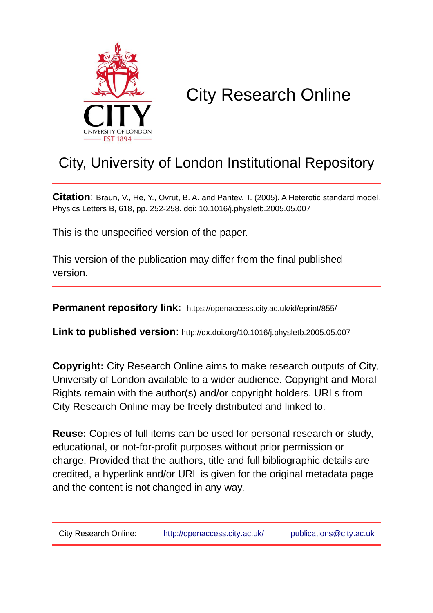

# City Research Online

## City, University of London Institutional Repository

**Citation**: Braun, V., He, Y., Ovrut, B. A. and Pantev, T. (2005). A Heterotic standard model. Physics Letters B, 618, pp. 252-258. doi: 10.1016/j.physletb.2005.05.007

This is the unspecified version of the paper.

This version of the publication may differ from the final published version.

**Permanent repository link:** https://openaccess.city.ac.uk/id/eprint/855/

**Link to published version**: http://dx.doi.org/10.1016/j.physletb.2005.05.007

**Copyright:** City Research Online aims to make research outputs of City, University of London available to a wider audience. Copyright and Moral Rights remain with the author(s) and/or copyright holders. URLs from City Research Online may be freely distributed and linked to.

**Reuse:** Copies of full items can be used for personal research or study, educational, or not-for-profit purposes without prior permission or charge. Provided that the authors, title and full bibliographic details are credited, a hyperlink and/or URL is given for the original metadata page and the content is not changed in any way.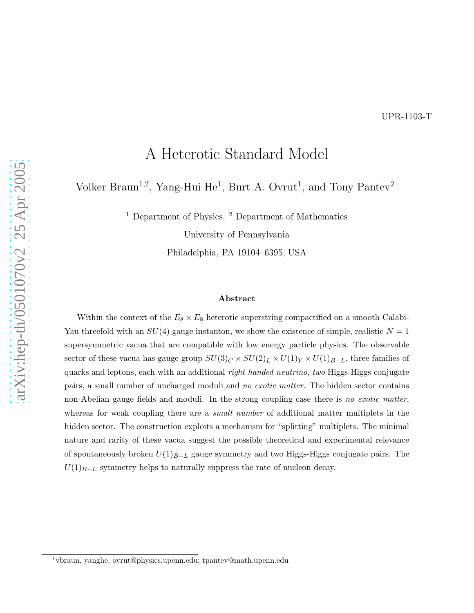### A Heterotic Standard Model

Volker Braun<sup>1,2</sup>, Yang-Hui He<sup>1</sup>, Burt A. Ovrut<sup>1</sup>, and Tony Pantev<sup>2</sup>

 $<sup>1</sup>$  Department of Physics,  $<sup>2</sup>$  Department of Mathematics</sup></sup>

University of Pennsylvania

Philadelphia, PA 19104–6395, USA

#### Abstract

Within the context of the  $E_8 \times E_8$  heterotic superstring compactified on a smooth Calabi-Yau threefold with an  $SU(4)$  gauge instanton, we show the existence of simple, realistic  $N = 1$ supersymmetric vacua that are compatible with low energy particle physics. The observable sector of these vacua has gauge group  $SU(3)_C \times SU(2)_L \times U(1)_Y \times U(1)_{B-L}$ , three families of quarks and leptons, each with an additional *right-handed neutrino*, two Higgs-Higgs conjugate pairs, a small number of uncharged moduli and no exotic matter. The hidden sector contains non-Abelian gauge fields and moduli. In the strong coupling case there is no exotic matter, whereas for weak coupling there are a *small number* of additional matter multiplets in the hidden sector. The construction exploits a mechanism for "splitting" multiplets. The minimal nature and rarity of these vacua suggest the possible theoretical and experimental relevance of spontaneously broken  $U(1)_{B-L}$  gauge symmetry and two Higgs-Higgs conjugate pairs. The  $U(1)_{B-L}$  symmetry helps to naturally suppress the rate of nucleon decay.

<sup>∗</sup>vbraun, yanghe, ovrut@physics.upenn.edu; tpantev@math.upenn.edu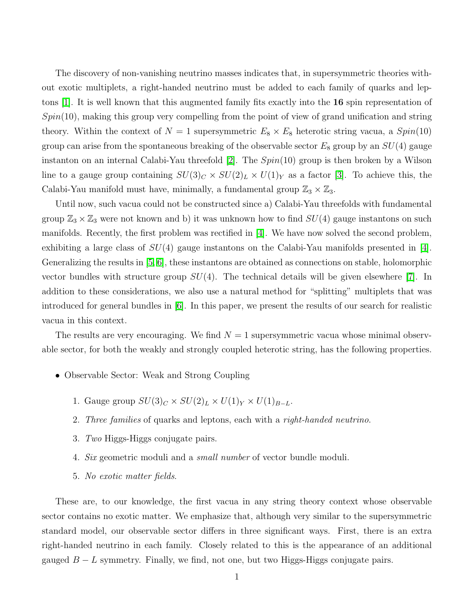The discovery of non-vanishing neutrino masses indicates that, in supersymmetric theories without exotic multiplets, a right-handed neutrino must be added to each family of quarks and leptons [\[1\]](#page-10-0). It is well known that this augmented family fits exactly into the 16 spin representation of  $Spin(10)$ , making this group very compelling from the point of view of grand unification and string theory. Within the context of  $N = 1$  supersymmetric  $E_8 \times E_8$  heterotic string vacua, a  $Spin(10)$ group can arise from the spontaneous breaking of the observable sector  $E_8$  group by an  $SU(4)$  gauge instanton on an internal Calabi-Yau threefold [\[2\]](#page-10-1). The  $Spin(10)$  group is then broken by a Wilson line to a gauge group containing  $SU(3)_C \times SU(2)_L \times U(1)_Y$  as a factor [\[3\]](#page-10-2). To achieve this, the Calabi-Yau manifold must have, minimally, a fundamental group  $\mathbb{Z}_3 \times \mathbb{Z}_3$ .

Until now, such vacua could not be constructed since a) Calabi-Yau threefolds with fundamental group  $\mathbb{Z}_3 \times \mathbb{Z}_3$  were not known and b) it was unknown how to find  $SU(4)$  gauge instantons on such manifolds. Recently, the first problem was rectified in [\[4\]](#page-10-3). We have now solved the second problem, exhibiting a large class of  $SU(4)$  gauge instantons on the Calabi-Yau manifolds presented in [\[4\]](#page-10-3). Generalizing the results in [\[5,](#page-10-4) [6\]](#page-10-5), these instantons are obtained as connections on stable, holomorphic vector bundles with structure group  $SU(4)$ . The technical details will be given elsewhere [\[7\]](#page-10-6). In addition to these considerations, we also use a natural method for "splitting" multiplets that was introduced for general bundles in [\[6\]](#page-10-5). In this paper, we present the results of our search for realistic vacua in this context.

The results are very encouraging. We find  $N = 1$  supersymmetric vacua whose minimal observable sector, for both the weakly and strongly coupled heterotic string, has the following properties.

- Observable Sector: Weak and Strong Coupling
	- 1. Gauge group  $SU(3)_C \times SU(2)_L \times U(1)_Y \times U(1)_{B-L}$ .
	- 2. *Three families* of quarks and leptons, each with a *right-handed neutrino*.
	- 3. *Two* Higgs-Higgs conjugate pairs.
	- 4. *Six* geometric moduli and a *small number* of vector bundle moduli.
	- 5. *No exotic matter fields*.

These are, to our knowledge, the first vacua in any string theory context whose observable sector contains no exotic matter. We emphasize that, although very similar to the supersymmetric standard model, our observable sector differs in three significant ways. First, there is an extra right-handed neutrino in each family. Closely related to this is the appearance of an additional gauged  $B - L$  symmetry. Finally, we find, not one, but two Higgs-Higgs conjugate pairs.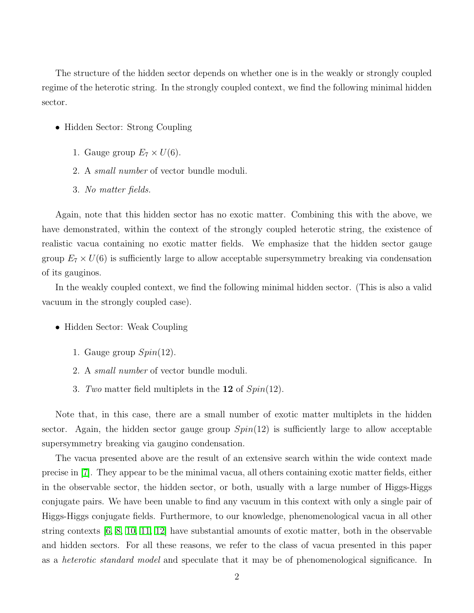The structure of the hidden sector depends on whether one is in the weakly or strongly coupled regime of the heterotic string. In the strongly coupled context, we find the following minimal hidden sector.

- Hidden Sector: Strong Coupling
	- 1. Gauge group  $E_7 \times U(6)$ .
	- 2. A *small number* of vector bundle moduli.
	- 3. *No matter fields.*

Again, note that this hidden sector has no exotic matter. Combining this with the above, we have demonstrated, within the context of the strongly coupled heterotic string, the existence of realistic vacua containing no exotic matter fields. We emphasize that the hidden sector gauge group  $E_7 \times U(6)$  is sufficiently large to allow acceptable supersymmetry breaking via condensation of its gauginos.

In the weakly coupled context, we find the following minimal hidden sector. (This is also a valid vacuum in the strongly coupled case).

- Hidden Sector: Weak Coupling
	- 1. Gauge group  $Spin(12)$ .
	- 2. A *small number* of vector bundle moduli.
	- 3. *Two* matter field multiplets in the 12 of Spin(12).

Note that, in this case, there are a small number of exotic matter multiplets in the hidden sector. Again, the hidden sector gauge group  $Spin(12)$  is sufficiently large to allow acceptable supersymmetry breaking via gaugino condensation.

The vacua presented above are the result of an extensive search within the wide context made precise in [\[7\]](#page-10-6). They appear to be the minimal vacua, all others containing exotic matter fields, either in the observable sector, the hidden sector, or both, usually with a large number of Higgs-Higgs conjugate pairs. We have been unable to find any vacuum in this context with only a single pair of Higgs-Higgs conjugate fields. Furthermore, to our knowledge, phenomenological vacua in all other string contexts [\[6,](#page-10-5) [8,](#page-11-0) [10,](#page-11-1) [11,](#page-11-2) [12\]](#page-11-3) have substantial amounts of exotic matter, both in the observable and hidden sectors. For all these reasons, we refer to the class of vacua presented in this paper as a *heterotic standard model* and speculate that it may be of phenomenological significance. In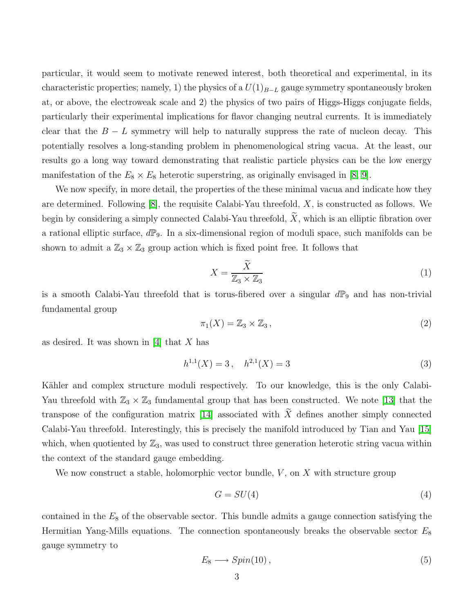particular, it would seem to motivate renewed interest, both theoretical and experimental, in its characteristic properties; namely, 1) the physics of a  $U(1)_{B-L}$  gauge symmetry spontaneously broken at, or above, the electroweak scale and 2) the physics of two pairs of Higgs-Higgs conjugate fields, particularly their experimental implications for flavor changing neutral currents. It is immediately clear that the  $B - L$  symmetry will help to naturally suppress the rate of nucleon decay. This potentially resolves a long-standing problem in phenomenological string vacua. At the least, our results go a long way toward demonstrating that realistic particle physics can be the low energy manifestation of the  $E_8 \times E_8$  heterotic superstring, as originally envisaged in [\[8,](#page-11-0) [9\]](#page-11-4).

We now specify, in more detail, the properties of the these minimal vacua and indicate how they are determined. Following  $[8]$ , the requisite Calabi-Yau threefold, X, is constructed as follows. We begin by considering a simply connected Calabi-Yau threefold,  $\widetilde{X}$ , which is an elliptic fibration over a rational elliptic surface,  $d\mathbb{P}_9$ . In a six-dimensional region of moduli space, such manifolds can be shown to admit a  $\mathbb{Z}_3 \times \mathbb{Z}_3$  group action which is fixed point free. It follows that

$$
X = \frac{\tilde{X}}{\mathbb{Z}_3 \times \mathbb{Z}_3} \tag{1}
$$

is a smooth Calabi-Yau threefold that is torus-fibered over a singular  $d\mathbb{P}_9$  and has non-trivial fundamental group

$$
\pi_1(X) = \mathbb{Z}_3 \times \mathbb{Z}_3, \tag{2}
$$

as desired. It was shown in [\[4\]](#page-10-3) that  $X$  has

$$
h^{1,1}(X) = 3, \quad h^{2,1}(X) = 3
$$
\n(3)

Kähler and complex structure moduli respectively. To our knowledge, this is the only Calabi-Yau threefold with  $\mathbb{Z}_3 \times \mathbb{Z}_3$  fundamental group that has been constructed. We note [\[13\]](#page-12-0) that the transpose of the configuration matrix [\[14\]](#page-12-1) associated with  $\widetilde{X}$  defines another simply connected Calabi-Yau threefold. Interestingly, this is precisely the manifold introduced by Tian and Yau [\[15\]](#page-12-2) which, when quotiented by  $\mathbb{Z}_3$ , was used to construct three generation heterotic string vacua within the context of the standard gauge embedding.

We now construct a stable, holomorphic vector bundle,  $V$ , on  $X$  with structure group

$$
G = SU(4) \tag{4}
$$

contained in the  $E_8$  of the observable sector. This bundle admits a gauge connection satisfying the Hermitian Yang-Mills equations. The connection spontaneously breaks the observable sector  $E_8$ gauge symmetry to

$$
E_8 \longrightarrow Spin(10), \tag{5}
$$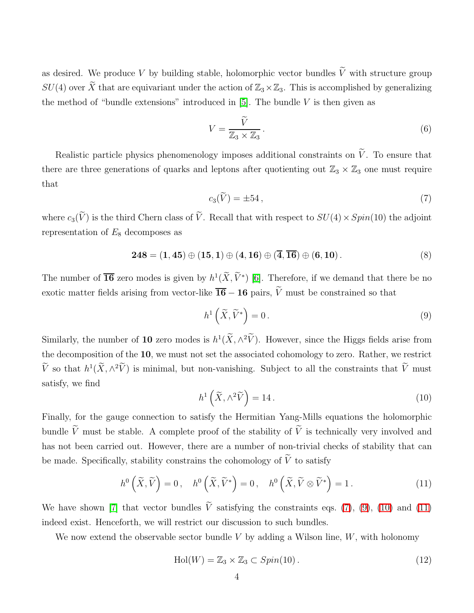as desired. We produce V by building stable, holomorphic vector bundles  $\widetilde{V}$  with structure group  $SU(4)$  over  $\widetilde{X}$  that are equivariant under the action of  $\mathbb{Z}_3\times\mathbb{Z}_3$ . This is accomplished by generalizing the method of "bundle extensions" introduced in  $[5]$ . The bundle V is then given as

$$
V = \frac{\widetilde{V}}{\mathbb{Z}_3 \times \mathbb{Z}_3}.
$$
\n<sup>(6)</sup>

Realistic particle physics phenomenology imposes additional constraints on  $\widetilde{V}$ . To ensure that there are three generations of quarks and leptons after quotienting out  $\mathbb{Z}_3 \times \mathbb{Z}_3$  one must require that

<span id="page-5-0"></span>
$$
c_3(\widetilde{V}) = \pm 54\,,\tag{7}
$$

where  $c_3(\widetilde{V})$  is the third Chern class of  $\widetilde{V}$ . Recall that with respect to  $SU(4) \times Spin(10)$  the adjoint representation of  $E_8$  decomposes as

<span id="page-5-1"></span>
$$
248 = (1, 45) \oplus (15, 1) \oplus (4, 16) \oplus (\overline{4}, \overline{16}) \oplus (6, 10).
$$
 (8)

The number of  $\overline{\bf 16}$  zero modes is given by  $h^1(\widetilde{X}, \widetilde{V}^*)$  [\[6\]](#page-10-5). Therefore, if we demand that there be no exotic matter fields arising from vector-like  $\overline{\mathbf{16}} - \mathbf{16}$  pairs,  $\widetilde{V}$  must be constrained so that

$$
h^1\left(\widetilde{X}, \widetilde{V}^*\right) = 0\,. \tag{9}
$$

Similarly, the number of 10 zero modes is  $h^1(\tilde{X}, \wedge^2 \tilde{V})$ . However, since the Higgs fields arise from the decomposition of the 10, we must not set the associated cohomology to zero. Rather, we restrict  $\widetilde{V}$  so that  $h^1(\widetilde{X}, \wedge^2 \widetilde{V})$  is minimal, but non-vanishing. Subject to all the constraints that  $\widetilde{V}$  must satisfy, we find

<span id="page-5-2"></span>
$$
h^1\left(\widetilde{X}, \wedge^2 \widetilde{V}\right) = 14. \tag{10}
$$

Finally, for the gauge connection to satisfy the Hermitian Yang-Mills equations the holomorphic bundle  $\widetilde{V}$  must be stable. A complete proof of the stability of  $\widetilde{V}$  is technically very involved and has not been carried out. However, there are a number of non-trivial checks of stability that can be made. Specifically, stability constrains the cohomology of  $\widetilde{V}$  to satisfy

$$
h^{0}\left(\widetilde{X},\widetilde{V}\right)=0, \quad h^{0}\left(\widetilde{X},\widetilde{V}^{*}\right)=0, \quad h^{0}\left(\widetilde{X},\widetilde{V}\otimes\widetilde{V}^{*}\right)=1.
$$
 (11)

<span id="page-5-3"></span>We have shown [\[7\]](#page-10-6) that vector bundles  $\tilde{V}$  satisfying the constraints eqs. [\(7\)](#page-5-0), [\(9\)](#page-5-1), [\(10\)](#page-5-2) and [\(11\)](#page-5-3) indeed exist. Henceforth, we will restrict our discussion to such bundles.

We now extend the observable sector bundle V by adding a Wilson line,  $W$ , with holonomy

$$
\text{Hol}(W) = \mathbb{Z}_3 \times \mathbb{Z}_3 \subset Spin(10) \,. \tag{12}
$$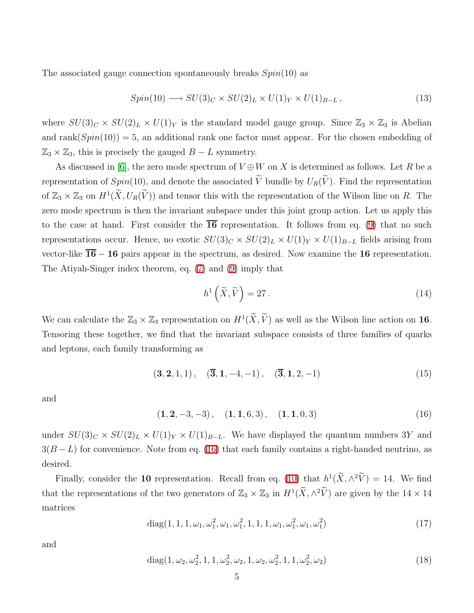The associated gauge connection spontaneously breaks  $Spin(10)$  as

$$
Spin(10) \longrightarrow SU(3)_C \times SU(2)_L \times U(1)_Y \times U(1)_{B-L}, \qquad (13)
$$

where  $SU(3)_C \times SU(2)_L \times U(1)_Y$  is the standard model gauge group. Since  $\mathbb{Z}_3 \times \mathbb{Z}_3$  is Abelian and rank $(Spin(10)) = 5$ , an additional rank one factor must appear. For the chosen embedding of  $\mathbb{Z}_3 \times \mathbb{Z}_3$ , this is precisely the gauged  $B - L$  symmetry.

As discussed in [\[6\]](#page-10-5), the zero mode spectrum of  $V \oplus W$  on X is determined as follows. Let R be a representation of  $Spin(10)$ , and denote the associated  $\tilde{V}$  bundle by  $U_R(\tilde{V})$ . Find the representation of  $\mathbb{Z}_3 \times \mathbb{Z}_3$  on  $H^1(\widetilde{X}, U_R(\widetilde{V}))$  and tensor this with the representation of the Wilson line on R. The zero mode spectrum is then the invariant subspace under this joint group action. Let us apply this to the case at hand. First consider the  $\overline{16}$  representation. It follows from eq. [\(9\)](#page-5-1) that no such representations occur. Hence, no exotic  $SU(3)_C \times SU(2)_L \times U(1)_Y \times U(1)_{B-L}$  fields arising from vector-like  $\overline{16} - 16$  pairs appear in the spectrum, as desired. Now examine the 16 representation. The Atiyah-Singer index theorem, eq. [\(7\)](#page-5-0) and [\(9\)](#page-5-1) imply that

$$
h^1\left(\widetilde{X}, \widetilde{V}\right) = 27\,. \tag{14}
$$

We can calculate the  $\mathbb{Z}_3 \times \mathbb{Z}_3$  representation on  $H^1(\widetilde{X}, \widetilde{V})$  as well as the Wilson line action on 16. Tensoring these together, we find that the invariant subspace consists of three families of quarks and leptons, each family transforming as

$$
(3, 2, 1, 1), \quad (\overline{3}, 1, -4, -1), \quad (\overline{3}, 1, 2, -1) \tag{15}
$$

and

<span id="page-6-0"></span> $(1, 2, -3, -3), (1, 1, 6, 3), (1, 1, 0, 3)$  (16)

under  $SU(3)_C \times SU(2)_L \times U(1)_Y \times U(1)_{B-L}$ . We have displayed the quantum numbers 3Y and  $3(B - L)$  for convenience. Note from eq. [\(16\)](#page-6-0) that each family contains a right-handed neutrino, as desired.

Finally, consider the 10 representation. Recall from eq. [\(10\)](#page-5-2) that  $h^1(\tilde{X}, \wedge^2 \tilde{V}) = 14$ . We find that the representations of the two generators of  $\mathbb{Z}_3 \times \mathbb{Z}_3$  in  $H^1(\tilde{X}, \wedge^2 \tilde{V})$  are given by the  $14 \times 14$ matrices

diag(1, 1, 1, 
$$
\omega_1
$$
,  $\omega_1^2$ ,  $\omega_1$ ,  $\omega_1^2$ , 1, 1, 1,  $\omega_1$ ,  $\omega_1^2$ ,  $\omega_1$ ,  $\omega_1^2$ ) (17)

and

diag
$$
(1, \omega_2, \omega_2^2, 1, 1, \omega_2^2, \omega_2, 1, \omega_2, \omega_2^2, 1, 1, \omega_2^2, \omega_2)
$$
 (18)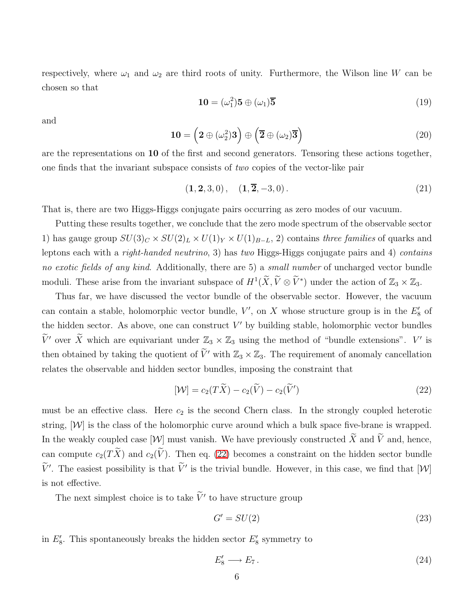respectively, where  $\omega_1$  and  $\omega_2$  are third roots of unity. Furthermore, the Wilson line W can be chosen so that

$$
\mathbf{10} = (\omega_1^2)\mathbf{5} \oplus (\omega_1)\mathbf{\overline{5}}
$$
 (19)

and

$$
10 = \left(2 \oplus (\omega_2^2)3\right) \oplus \left(\overline{2} \oplus (\omega_2)\overline{3}\right)
$$
 (20)

are the representations on 10 of the first and second generators. Tensoring these actions together, one finds that the invariant subspace consists of *two* copies of the vector-like pair

$$
(1, 2, 3, 0), \quad (1, \overline{2}, -3, 0). \tag{21}
$$

That is, there are two Higgs-Higgs conjugate pairs occurring as zero modes of our vacuum.

Putting these results together, we conclude that the zero mode spectrum of the observable sector 1) has gauge group  $SU(3)_C \times SU(2)_L \times U(1)_Y \times U(1)_{B-L}$ , 2) contains *three families* of quarks and leptons each with a *right-handed neutrino*, 3) has *two* Higgs-Higgs conjugate pairs and 4) *contains no exotic fields of any kind*. Additionally, there are 5) a *small number* of uncharged vector bundle moduli. These arise from the invariant subspace of  $H^1(\widetilde{X}, \widetilde{V} \otimes \widetilde{V}^*)$  under the action of  $\mathbb{Z}_3 \times \mathbb{Z}_3$ .

Thus far, we have discussed the vector bundle of the observable sector. However, the vacuum can contain a stable, holomorphic vector bundle,  $V'$ , on X whose structure group is in the  $E'_{8}$  of the hidden sector. As above, one can construct  $V'$  by building stable, holomorphic vector bundles  $\widetilde{V}'$  over  $\widetilde{X}$  which are equivariant under  $\mathbb{Z}_3 \times \mathbb{Z}_3$  using the method of "bundle extensions".  $V'$  is then obtained by taking the quotient of  $\tilde{V}'$  with  $\mathbb{Z}_3 \times \mathbb{Z}_3$ . The requirement of anomaly cancellation relates the observable and hidden sector bundles, imposing the constraint that

<span id="page-7-0"></span>
$$
[\mathcal{W}] = c_2(T\widetilde{X}) - c_2(\widetilde{V}) - c_2(\widetilde{V}')
$$
\n(22)

must be an effective class. Here  $c_2$  is the second Chern class. In the strongly coupled heterotic string,  $[W]$  is the class of the holomorphic curve around which a bulk space five-brane is wrapped. In the weakly coupled case  $[\mathcal{W}]$  must vanish. We have previously constructed  $\widetilde{X}$  and  $\widetilde{V}$  and, hence, can compute  $c_2(T\widetilde{X})$  and  $c_2(\widetilde{V})$ . Then eq. [\(22\)](#page-7-0) becomes a constraint on the hidden sector bundle  $\tilde{V}'$ . The easiest possibility is that  $\tilde{V}'$  is the trivial bundle. However, in this case, we find that  $[\mathcal{W}]$ is not effective.

The next simplest choice is to take  $\tilde{V}'$  to have structure group

<span id="page-7-1"></span>
$$
G' = SU(2) \tag{23}
$$

in  $E'_8$ . This spontaneously breaks the hidden sector  $E'_8$  symmetry to

$$
E_8' \longrightarrow E_7. \tag{24}
$$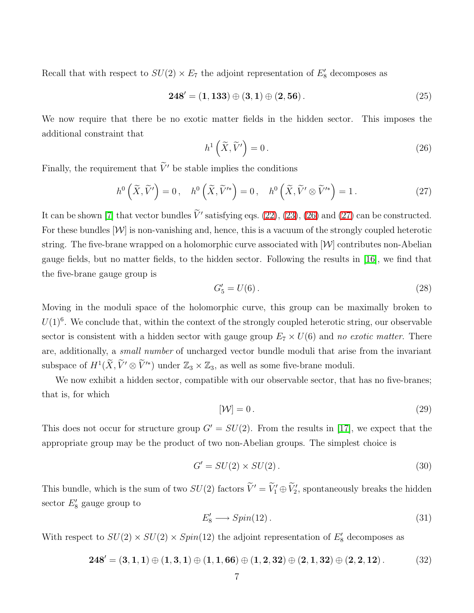Recall that with respect to  $SU(2) \times E_7$  the adjoint representation of  $E'_8$  decomposes as

<span id="page-8-0"></span>
$$
248' = (1, 133) \oplus (3, 1) \oplus (2, 56). \tag{25}
$$

We now require that there be no exotic matter fields in the hidden sector. This imposes the additional constraint that

$$
h^1\left(\widetilde{X}, \widetilde{V}'\right) = 0\,. \tag{26}
$$

<span id="page-8-1"></span>Finally, the requirement that  $\widetilde{V}'$  be stable implies the conditions

$$
h^{0}\left(\widetilde{X},\widetilde{V}'\right)=0\,,\quad h^{0}\left(\widetilde{X},\widetilde{V}'^{*}\right)=0\,,\quad h^{0}\left(\widetilde{X},\widetilde{V}'\otimes\widetilde{V}'^{*}\right)=1\,.
$$

It can be shown [\[7\]](#page-10-6) that vector bundles  $\tilde{V}'$  satisfying eqs. [\(22\)](#page-7-0), [\(23\)](#page-7-1), [\(26\)](#page-8-0) and [\(27\)](#page-8-1) can be constructed. For these bundles  $[W]$  is non-vanishing and, hence, this is a vacuum of the strongly coupled heterotic string. The five-brane wrapped on a holomorphic curve associated with  $|\mathcal{W}|$  contributes non-Abelian gauge fields, but no matter fields, to the hidden sector. Following the results in [\[16\]](#page-12-3), we find that the five-brane gauge group is

$$
G_5' = U(6).
$$
 (28)

Moving in the moduli space of the holomorphic curve, this group can be maximally broken to  $U(1)^6$ . We conclude that, within the context of the strongly coupled heterotic string, our observable sector is consistent with a hidden sector with gauge group  $E_7 \times U(6)$  and *no exotic matter*. There are, additionally, a *small number* of uncharged vector bundle moduli that arise from the invariant subspace of  $H^1(\widetilde{X}, \widetilde{V}' \otimes \widetilde{V}'^*)$  under  $\mathbb{Z}_3 \times \mathbb{Z}_3$ , as well as some five-brane moduli.

We now exhibit a hidden sector, compatible with our observable sector, that has no five-branes; that is, for which

<span id="page-8-2"></span>
$$
[\mathcal{W}] = 0. \tag{29}
$$

This does not occur for structure group  $G' = SU(2)$ . From the results in [\[17\]](#page-12-4), we expect that the appropriate group may be the product of two non-Abelian groups. The simplest choice is

$$
G' = SU(2) \times SU(2). \tag{30}
$$

This bundle, which is the sum of two  $SU(2)$  factors  $\widetilde{V}' = \widetilde{V}'_1 \oplus \widetilde{V}'_2$ , spontaneously breaks the hidden sector  $E'_8$  gauge group to

$$
E_8' \longrightarrow Spin(12) \tag{31}
$$

With respect to  $SU(2) \times SU(2) \times Spin(12)$  the adjoint representation of  $E'_8$  decomposes as

$$
248' = (3, 1, 1) \oplus (1, 3, 1) \oplus (1, 1, 66) \oplus (1, 2, 32) \oplus (2, 1, 32) \oplus (2, 2, 12).
$$
 (32)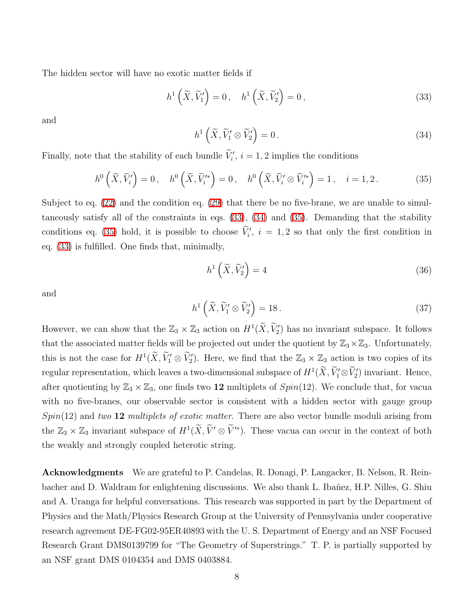The hidden sector will have no exotic matter fields if

<span id="page-9-1"></span><span id="page-9-0"></span>
$$
h^{1}\left(\widetilde{X},\widetilde{V}_{1}'\right)=0, \quad h^{1}\left(\widetilde{X},\widetilde{V}_{2}'\right)=0, \tag{33}
$$

and

$$
h^1\left(\widetilde{X}, \widetilde{V}'_1 \otimes \widetilde{V}'_2\right) = 0.
$$
\n(34)

<span id="page-9-2"></span>Finally, note that the stability of each bundle  $\tilde{V}'_i$ ,  $i = 1, 2$  implies the conditions

$$
h^{0}\left(\widetilde{X},\widetilde{V}_{i}'\right)=0, \quad h^{0}\left(\widetilde{X},\widetilde{V}_{i}^{\prime*}\right)=0, \quad h^{0}\left(\widetilde{X},\widetilde{V}_{i}'\otimes\widetilde{V}_{i}^{\prime*}\right)=1, \quad i=1,2. \tag{35}
$$

Subject to eq. [\(22\)](#page-7-0) and the condition eq. [\(29\)](#page-8-2) that there be no five-brane, we are unable to simultaneously satisfy all of the constraints in eqs. [\(33\)](#page-9-0), [\(34\)](#page-9-1) and [\(35\)](#page-9-2). Demanding that the stability conditions eq. [\(35\)](#page-9-2) hold, it is possible to choose  $\tilde{V}'_i$ ,  $i = 1, 2$  so that only the first condition in eq. [\(33\)](#page-9-0) is fulfilled. One finds that, minimally,

$$
h^1\left(\widetilde{X}, \widetilde{V}_2'\right) = 4\tag{36}
$$

and

$$
h^1\left(\widetilde{X}, \widetilde{V}'_1 \otimes \widetilde{V}'_2\right) = 18\,. \tag{37}
$$

However, we can show that the  $\mathbb{Z}_3 \times \mathbb{Z}_3$  action on  $H^1(\widetilde{X}, \widetilde{V}_2')$  has no invariant subspace. It follows that the associated matter fields will be projected out under the quotient by  $\mathbb{Z}_3\times\mathbb{Z}_3$ . Unfortunately, this is not the case for  $H^1(\widetilde{X}, \widetilde{V}_1' \otimes \widetilde{V}_2')$ . Here, we find that the  $\mathbb{Z}_3 \times \mathbb{Z}_3$  action is two copies of its regular representation, which leaves a two-dimensional subspace of  $H^1(\widetilde{X},\widetilde{V}'_1\otimes \widetilde{V}'_2)$  invariant. Hence, after quotienting by  $\mathbb{Z}_3 \times \mathbb{Z}_3$ , one finds two 12 multiplets of  $Spin(12)$ . We conclude that, for vacual with no five-branes, our observable sector is consistent with a hidden sector with gauge group Spin(12) and *two* 12 *multiplets of exotic matter*. There are also vector bundle moduli arising from the  $\mathbb{Z}_3 \times \mathbb{Z}_3$  invariant subspace of  $H^1(\widetilde{X}, \widetilde{V}' \otimes \widetilde{V}'^*)$ . These vacua can occur in the context of both the weakly and strongly coupled heterotic string.

Acknowledgments We are grateful to P. Candelas, R. Donagi, P. Langacker, B. Nelson, R. Reinbacher and D. Waldram for enlightening discussions. We also thank L. Ibañez, H.P. Nilles, G. Shiu and A. Uranga for helpful conversations. This research was supported in part by the Department of Physics and the Math/Physics Research Group at the University of Pennsylvania under cooperative research agreement DE-FG02-95ER40893 with the U. S. Department of Energy and an NSF Focused Research Grant DMS0139799 for "The Geometry of Superstrings." T. P. is partially supported by an NSF grant DMS 0104354 and DMS 0403884.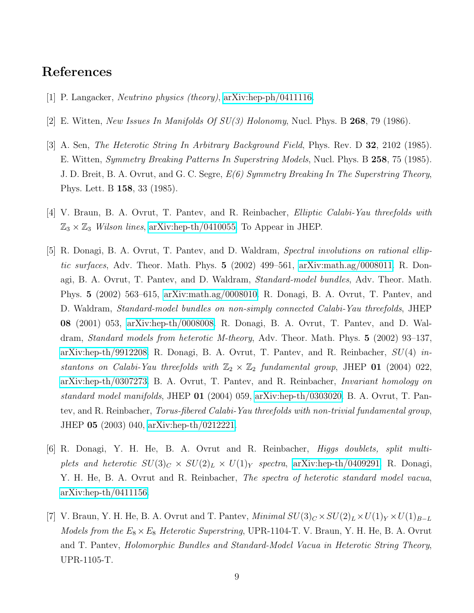#### <span id="page-10-0"></span>References

- <span id="page-10-1"></span>[1] P. Langacker, *Neutrino physics (theory)*, [arXiv:hep-ph/0411116.](http://arXiv.org/abs/hep-ph/0411116)
- <span id="page-10-2"></span>[2] E. Witten, *New Issues In Manifolds Of SU(3) Holonomy*, Nucl. Phys. B 268, 79 (1986).
- [3] A. Sen, *The Heterotic String In Arbitrary Background Field*, Phys. Rev. D 32, 2102 (1985). E. Witten, *Symmetry Breaking Patterns In Superstring Models*, Nucl. Phys. B 258, 75 (1985). J. D. Breit, B. A. Ovrut, and G. C. Segre, *E(6) Symmetry Breaking In The Superstring Theory*, Phys. Lett. B 158, 33 (1985).
- <span id="page-10-4"></span><span id="page-10-3"></span>[4] V. Braun, B. A. Ovrut, T. Pantev, and R. Reinbacher, *Elliptic Calabi-Yau threefolds with*  $\mathbb{Z}_3 \times \mathbb{Z}_3$  *Wilson lines*, [arXiv:hep-th/0410055.](http://arXiv.org/abs/hep-th/0410055) To Appear in JHEP.
- [5] R. Donagi, B. A. Ovrut, T. Pantev, and D. Waldram, *Spectral involutions on rational elliptic surfaces*, Adv. Theor. Math. Phys. 5 (2002) 499–561, [arXiv:math.ag/0008011.](http://arXiv.org/abs/math/0008011) R. Donagi, B. A. Ovrut, T. Pantev, and D. Waldram, *Standard-model bundles*, Adv. Theor. Math. Phys. 5 (2002) 563–615, [arXiv:math.ag/0008010.](http://arXiv.org/abs/math/0008010) R. Donagi, B. A. Ovrut, T. Pantev, and D. Waldram, *Standard-model bundles on non-simply connected Calabi-Yau threefolds*, JHEP 08 (2001) 053, [arXiv:hep-th/0008008.](http://arXiv.org/abs/hep-th/0008008) R. Donagi, B. A. Ovrut, T. Pantev, and D. Waldram, *Standard models from heterotic M-theory*, Adv. Theor. Math. Phys. 5 (2002) 93–137, [arXiv:hep-th/9912208.](http://arXiv.org/abs/hep-th/9912208) R. Donagi, B. A. Ovrut, T. Pantev, and R. Reinbacher, SU(4) *instantons on Calabi-Yau threefolds with*  $\mathbb{Z}_2 \times \mathbb{Z}_2$  *fundamental group*, JHEP 01 (2004) 022, [arXiv:hep-th/0307273.](http://arXiv.org/abs/hep-th/0307273) B. A. Ovrut, T. Pantev, and R. Reinbacher, *Invariant homology on standard model manifolds*, JHEP 01 (2004) 059, [arXiv:hep-th/0303020.](http://arXiv.org/abs/hep-th/0303020) B. A. Ovrut, T. Pantev, and R. Reinbacher, *Torus-fibered Calabi-Yau threefolds with non-trivial fundamental group*, JHEP 05 (2003) 040, [arXiv:hep-th/0212221.](http://arXiv.org/abs/hep-th/0212221)
- <span id="page-10-5"></span>[6] R. Donagi, Y. H. He, B. A. Ovrut and R. Reinbacher, *Higgs doublets, split multiplets and heterotic*  $SU(3)_C \times SU(2)_L \times U(1)_Y$  *spectra*, [arXiv:hep-th/0409291.](http://arXiv.org/abs/hep-th/0409291) R. Donagi, Y. H. He, B. A. Ovrut and R. Reinbacher, *The spectra of heterotic standard model vacua*, [arXiv:hep-th/0411156.](http://arXiv.org/abs/hep-th/0411156)
- <span id="page-10-6"></span>[7] V. Braun, Y. H. He, B. A. Ovrut and T. Pantev, *Minimal*  $SU(3)_C \times SU(2)_L \times U(1)_Y \times U(1)_{B-L}$ *Models from the*  $E_8 \times E_8$  *Heterotic Superstring*, UPR-1104-T. V. Braun, Y. H. He, B. A. Ovrut and T. Pantev, *Holomorphic Bundles and Standard-Model Vacua in Heterotic String Theory*, UPR-1105-T.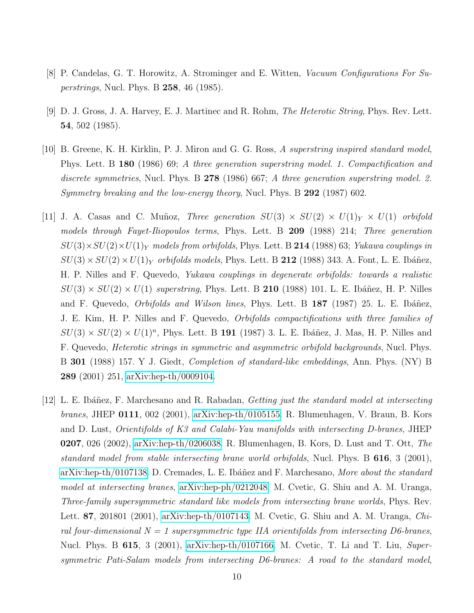- <span id="page-11-4"></span><span id="page-11-0"></span>[8] P. Candelas, G. T. Horowitz, A. Strominger and E. Witten, *Vacuum Configurations For Superstrings*, Nucl. Phys. B 258, 46 (1985).
- [9] D. J. Gross, J. A. Harvey, E. J. Martinec and R. Rohm, *The Heterotic String*, Phys. Rev. Lett. 54, 502 (1985).
- <span id="page-11-1"></span>[10] B. Greene, K. H. Kirklin, P. J. Miron and G. G. Ross, *A superstring inspired standard model*, Phys. Lett. B 180 (1986) 69; *A three generation superstring model. 1. Compactification and discrete symmetries*, Nucl. Phys. B 278 (1986) 667; *A three generation superstring model. 2. Symmetry breaking and the low-energy theory*, Nucl. Phys. B 292 (1987) 602.
- <span id="page-11-2"></span>[11] J. A. Casas and C. Muñoz, *Three generation*  $SU(3) \times SU(2) \times U(1)_Y \times U(1)$  *orbifold models through Fayet-Iliopoulos terms*, Phys. Lett. B 209 (1988) 214; *Three generation*  $SU(3)\times SU(2)\times U(1)_Y$  models from orbifolds, Phys. Lett. B 214 (1988) 63; *Yukawa couplings in*  $SU(3)\times SU(2)\times U(1)_Y$  *orbifolds models*, Phys. Lett. B 212 (1988) 343. A. Font, L. E. Ibáñez, H. P. Nilles and F. Quevedo, *Yukawa couplings in degenerate orbifolds: towards a realistic*  $SU(3) \times SU(2) \times U(1)$  *superstring*, Phys. Lett. B 210 (1988) 101. L. E. Ibáñez, H. P. Nilles and F. Quevedo, *Orbifolds and Wilson lines*, Phys. Lett. B 187 (1987) 25. L. E. Ibáñez, J. E. Kim, H. P. Nilles and F. Quevedo, *Orbifolds compactifications with three families of*  $SU(3) \times SU(2) \times U(1)^n$ , Phys. Lett. B 191 (1987) 3. L. E. Ibáñez, J. Mas, H. P. Nilles and F. Quevedo, *Heterotic strings in symmetric and asymmetric orbifold backgrounds*, Nucl. Phys. B 301 (1988) 157. Y J. Giedt, *Completion of standard-like embeddings*, Ann. Phys. (NY) B 289 (2001) 251, [arXiv:hep-th/0009104.](http://arXiv.org/abs/hep-th/0009104)
- <span id="page-11-3"></span>[12] L. E. Ibáñez, F. Marchesano and R. Rabadan, *Getting just the standard model at intersecting branes*, JHEP 0111, 002 (2001), [arXiv:hep-th/0105155.](http://arXiv.org/abs/hep-th/0105155) R. Blumenhagen, V. Braun, B. Kors and D. Lust, *Orientifolds of K3 and Calabi-Yau manifolds with intersecting D-branes*, JHEP 0207, 026 (2002), [arXiv:hep-th/0206038.](http://arXiv.org/abs/hep-th/0206038) R. Blumenhagen, B. Kors, D. Lust and T. Ott, *The standard model from stable intersecting brane world orbifolds*, Nucl. Phys. B 616, 3 (2001), [arXiv:hep-th/0107138.](http://arXiv.org/abs/hep-th/0107138) D. Cremades, L. E. Ibáñez and F. Marchesano, *More about the standard model at intersecting branes*, [arXiv:hep-ph/0212048.](http://arXiv.org/abs/hep-ph/0212048) M. Cvetic, G. Shiu and A. M. Uranga, *Three-family supersymmetric standard like models from intersecting brane worlds*, Phys. Rev. Lett. 87, 201801 (2001), [arXiv:hep-th/0107143.](http://arXiv.org/abs/hep-th/0107143) M. Cvetic, G. Shiu and A. M. Uranga, *Chiral four-dimensional N = 1 supersymmetric type IIA orientifolds from intersecting D6-branes*, Nucl. Phys. B 615, 3 (2001), [arXiv:hep-th/0107166.](http://arXiv.org/abs/hep-th/0107166) M. Cvetic, T. Li and T. Liu, *Supersymmetric Pati-Salam models from intersecting D6-branes: A road to the standard model*,